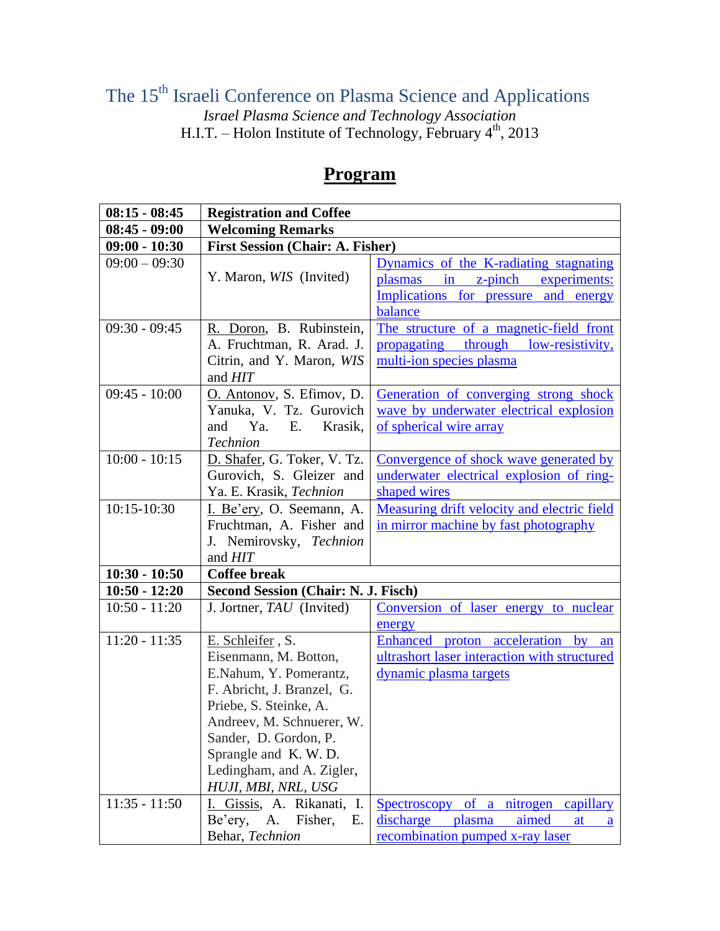The 15<sup>th</sup> Israeli Conference on Plasma Science and Applications

*Israel Plasma Science and Technology Association* H.I.T. – Holon Institute of Technology, February  $4<sup>th</sup>$ , 2013

## **08:15 - 08:45 Registration and Coffee 08:45 - 09:00 Welcoming Remarks 09:00 - 10:30 First Session (Chair: A. Fisher)**  $09:00 - 09:30$ Y. Maron, *WIS* (Invited) Dynamics of the K-radiating stagnating plasmas in z-pinch experiments: Implications for pressure and energy balance 09:30 - 09:45 R. Doron, B. Rubinstein, A. Fruchtman, R. Arad. J. Citrin, and Y. Maron, *WIS*  and *HIT* The structure of a magnetic-field front propagating through low-resistivity, multi-ion species plasma 09:45 - 10:00 | O. Antonov, S. Efimov, D. Yanuka, V. Tz. Gurovich and Ya. E. Krasik, *Technion* Generation of converging strong shock wave by underwater electrical explosion of spherical wire array 10:00 - 10:15 | D. Shafer, G. Toker, V. Tz. Gurovich, S. Gleizer and Ya. E. Krasik, *Technion* Convergence of shock wave generated by underwater electrical explosion of ringshaped wires 10:15-10:30 I. Be'ery, O. Seemann, A. Fruchtman, A. Fisher and J. Nemirovsky, *Technion*  and *HIT* Measuring drift velocity and electric field in mirror machine by fast photography **10:30 - 10:50 Coffee break 10:50 - 12:20 Second Session (Chair: N. J. Fisch)** 10:50 - 11:20 J. Jortner, *TAU* (Invited) Conversion of laser energy to nuclear energy 11:20 - 11:35 E. Schleifer , S. Eisenmann, M. Botton, E.Nahum, Y. Pomerantz, F. Abricht, J. Branzel, G. Priebe, S. Steinke, A. Andreev, M. Schnuerer, W. Enhanced proton acceleration by an ultrashort laser interaction with structured dynamic plasma targets

Spectroscopy of a nitrogen capillary discharge plasma aimed at a

recombination pumped x-ray laser

Sander, D. Gordon, P. Sprangle and K. W. D. Ledingham, and A. Zigler, *HUJI, MBI, NRL, USG*

Be'ery, A. Fisher, E.

11:35 - 11:50 I. Gissis, A. Rikanati, I.

Behar, *Technion*

## **Program**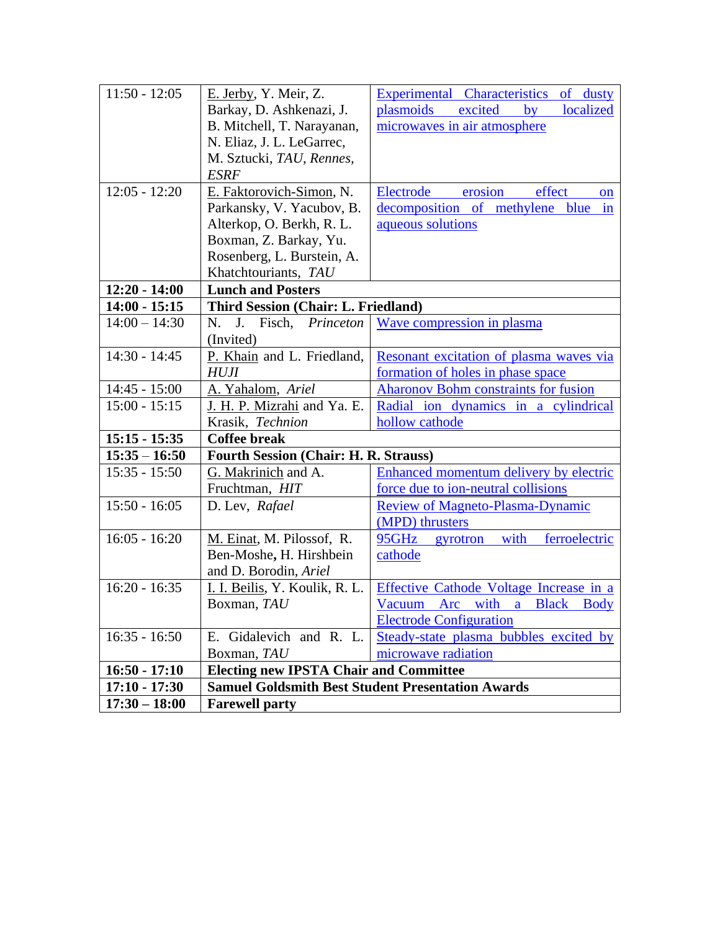| $11:50 - 12:05$ | E. Jerby, Y. Meir, Z.                                    |                                                   |
|-----------------|----------------------------------------------------------|---------------------------------------------------|
|                 |                                                          | Experimental Characteristics of dusty<br>excited  |
|                 | Barkay, D. Ashkenazi, J.                                 | plasmoids<br>localized<br>$\mathbf{b} \mathbf{v}$ |
|                 | B. Mitchell, T. Narayanan,                               | microwaves in air atmosphere                      |
|                 | N. Eliaz, J. L. LeGarrec,                                |                                                   |
|                 | M. Sztucki, TAU, Rennes,                                 |                                                   |
|                 | <b>ESRF</b>                                              |                                                   |
| $12:05 - 12:20$ | E. Faktorovich-Simon, N.                                 | erosion<br>effect<br>Electrode<br><sub>on</sub>   |
|                 | Parkansky, V. Yacubov, B.                                | decomposition of methylene blue<br>in             |
|                 | Alterkop, O. Berkh, R. L.                                | aqueous solutions                                 |
|                 | Boxman, Z. Barkay, Yu.                                   |                                                   |
|                 | Rosenberg, L. Burstein, A.                               |                                                   |
|                 | Khatchtouriants, TAU                                     |                                                   |
| $12:20 - 14:00$ | <b>Lunch and Posters</b>                                 |                                                   |
| $14:00 - 15:15$ | Third Session (Chair: L. Friedland)                      |                                                   |
| $14:00 - 14:30$ | Fisch,<br>N.<br>J.<br>Princeton                          | Wave compression in plasma                        |
|                 | (Invited)                                                |                                                   |
| $14:30 - 14:45$ | P. Khain and L. Friedland,                               | Resonant excitation of plasma waves via           |
|                 | <b>HUJI</b>                                              | formation of holes in phase space                 |
| $14:45 - 15:00$ | A. Yahalom, Ariel                                        | <b>Aharonov Bohm constraints for fusion</b>       |
| $15:00 - 15:15$ | J. H. P. Mizrahi and Ya. E.                              | Radial ion dynamics in a cylindrical              |
|                 | Krasik, Technion                                         | hollow cathode                                    |
| $15:15 - 15:35$ | <b>Coffee break</b>                                      |                                                   |
| $15:35 - 16:50$ | <b>Fourth Session (Chair: H. R. Strauss)</b>             |                                                   |
| $15:35 - 15:50$ | G. Makrinich and A.                                      | Enhanced momentum delivery by electric            |
|                 | Fruchtman, HIT                                           | force due to ion-neutral collisions               |
| $15:50 - 16:05$ | D. Lev, Rafael                                           | <b>Review of Magneto-Plasma-Dynamic</b>           |
|                 |                                                          | (MPD) thrusters                                   |
| $16:05 - 16:20$ | M. Einat, M. Pilossof, R.                                | with<br>95GHz<br>ferroelectric<br>gyrotron        |
|                 | Ben-Moshe, H. Hirshbein                                  | cathode                                           |
|                 | and D. Borodin, Ariel                                    |                                                   |
| $16:20 - 16:35$ | I. I. Beilis, Y. Koulik, R. L.                           | Effective Cathode Voltage Increase in a           |
|                 | Boxman, TAU                                              | Vacuum Arc with a Black Body                      |
|                 |                                                          | <b>Electrode Configuration</b>                    |
| $16:35 - 16:50$ | E. Gidalevich and R. L.                                  | Steady-state plasma bubbles excited by            |
|                 | Boxman, TAU                                              | microwave radiation                               |
| $16:50 - 17:10$ | <b>Electing new IPSTA Chair and Committee</b>            |                                                   |
| $17:10 - 17:30$ | <b>Samuel Goldsmith Best Student Presentation Awards</b> |                                                   |
| $17:30 - 18:00$ | <b>Farewell party</b>                                    |                                                   |